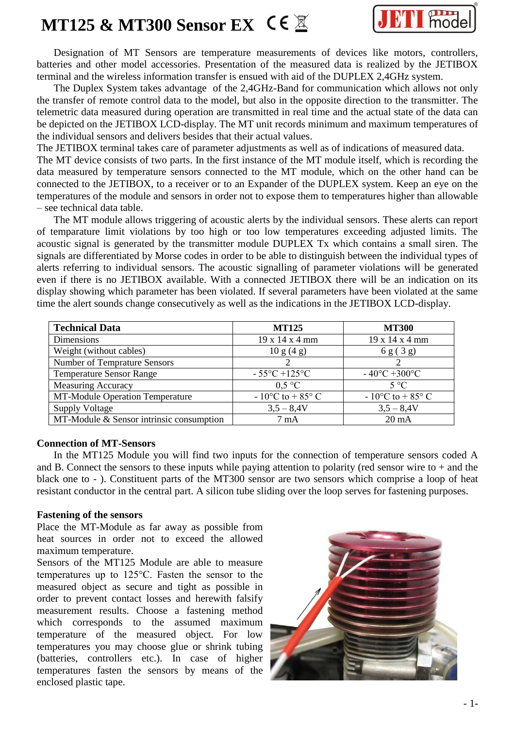



Designation of MT Sensors are temperature measurements of devices like motors, controllers, batteries and other model accessories. Presentation of the measured data is realized by the JETIBOX terminal and the wireless information transfer is ensued with aid of the DUPLEX 2,4GHz system.

The Duplex System takes advantage of the 2,4GHz-Band for communication which allows not only the transfer of remote control data to the model, but also in the opposite direction to the transmitter. The telemetric data measured during operation are transmitted in real time and the actual state of the data can be depicted on the JETIBOX LCD-display. The MT unit records minimum and maximum temperatures of the individual sensors and delivers besides that their actual values.

The JETIBOX terminal takes care of parameter adjustments as well as of indications of measured data.

The MT device consists of two parts. In the first instance of the MT module itself, which is recording the data measured by temperature sensors connected to the MT module, which on the other hand can be connected to the JETIBOX, to a receiver or to an Expander of the DUPLEX system. Keep an eye on the temperatures of the module and sensors in order not to expose them to temperatures higher than allowable – see technical data table.

The MT module allows triggering of acoustic alerts by the individual sensors. These alerts can report of temparature limit violations by too high or too low temperatures exceeding adjusted limits. The acoustic signal is generated by the transmitter module DUPLEX Tx which contains a small siren. The signals are differentiated by Morse codes in order to be able to distinguish between the individual types of alerts referring to individual sensors. The acoustic signalling of parameter violations will be generated even if there is no JETIBOX available. With a connected JETIBOX there will be an indication on its display showing which parameter has been violated. If several parameters have been violated at the same time the alert sounds change consecutively as well as the indications in the JETIBOX LCD-display.

| <b>Technical Data</b>                    | <b>MT125</b>                       | <b>MT300</b>                       |
|------------------------------------------|------------------------------------|------------------------------------|
| Dimensions                               | 19 x 14 x 4 mm                     | 19 x 14 x 4 mm                     |
| Weight (without cables)                  | 10 g (4 g)                         | 6 g (3 g)                          |
| <b>Number of Temprature Sensors</b>      |                                    |                                    |
| <b>Temperature Sensor Range</b>          | $-55^{\circ}C + 125^{\circ}C$      | $-40^{\circ}C + 300^{\circ}C$      |
| <b>Measuring Accuracy</b>                | 0.5 °C                             | $5^{\circ}C$                       |
| <b>MT-Module Operation Temperature</b>   | $-10^{\circ}$ C to $+85^{\circ}$ C | $-10^{\circ}$ C to $+85^{\circ}$ C |
| <b>Supply Voltage</b>                    | $3,5 - 8,4V$                       | $3,5 - 8,4V$                       |
| MT-Module & Sensor intrinsic consumption | $7 \text{ mA}$                     | $20 \text{ mA}$                    |

#### **Connection of MT-Sensors**

In the MT125 Module you will find two inputs for the connection of temperature sensors coded A and B. Connect the sensors to these inputs while paying attention to polarity (red sensor wire to  $+$  and the black one to - ). Constituent parts of the MT300 sensor are two sensors which comprise a loop of heat resistant conductor in the central part. A silicon tube sliding over the loop serves for fastening purposes.

#### **Fastening of the sensors**

Place the MT-Module as far away as possible from heat sources in order not to exceed the allowed maximum temperature.

Sensors of the MT125 Module are able to measure temperatures up to 125°C. Fasten the sensor to the measured object as secure and tight as possible in order to prevent contact losses and herewith falsify measurement results. Choose a fastening method which corresponds to the assumed maximum temperature of the measured object. For low temperatures you may choose glue or shrink tubing (batteries, controllers etc.). In case of higher temperatures fasten the sensors by means of the enclosed plastic tape.

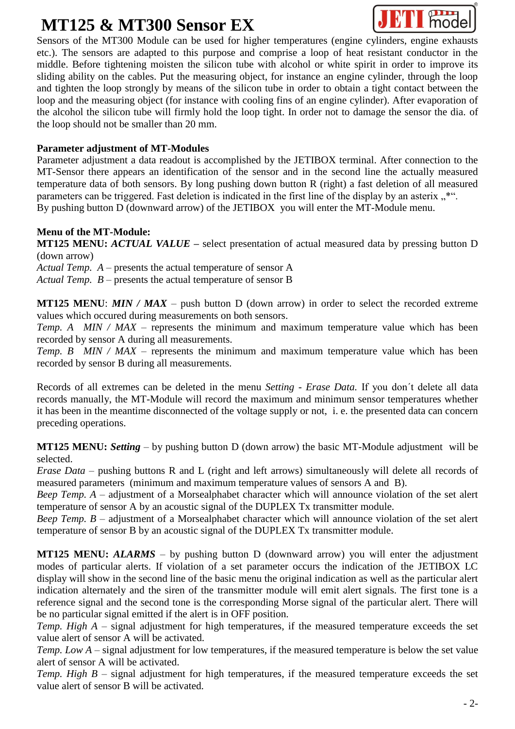## **MT125 & MT300 Sensor EX**



Sensors of the MT300 Module can be used for higher temperatures (engine cylinders, engine exhausts etc.). The sensors are adapted to this purpose and comprise a loop of heat resistant conductor in the middle. Before tightening moisten the silicon tube with alcohol or white spirit in order to improve its sliding ability on the cables. Put the measuring object, for instance an engine cylinder, through the loop and tighten the loop strongly by means of the silicon tube in order to obtain a tight contact between the loop and the measuring object (for instance with cooling fins of an engine cylinder). After evaporation of the alcohol the silicon tube will firmly hold the loop tight. In order not to damage the sensor the dia. of the loop should not be smaller than 20 mm.

### **Parameter adjustment of MT-Modules**

Parameter adjustment a data readout is accomplished by the JETIBOX terminal. After connection to the MT-Sensor there appears an identification of the sensor and in the second line the actually measured temperature data of both sensors. By long pushing down button R (right) a fast deletion of all measured parameters can be triggered. Fast deletion is indicated in the first line of the display by an asterix  $\cdot$ .\*". By pushing button D (downward arrow) of the JETIBOX you will enter the MT-Module menu.

#### **Menu of the MT-Module:**

**MT125 MENU:** *ACTUAL VALUE* – select presentation of actual measured data by pressing button D (down arrow)

*Actual Temp. A –* presents the actual temperature of sensor A

*Actual Temp. B –* presents the actual temperature of sensor B

**MT125 MENU**: *MIN / MAX* – push button D (down arrow) in order to select the recorded extreme values which occured during measurements on both sensors.

*Temp. A MIN / MAX* – represents the minimum and maximum temperature value which has been recorded by sensor A during all measurements.

*Temp. B MIN / MAX* – represents the minimum and maximum temperature value which has been recorded by sensor B during all measurements.

Records of all extremes can be deleted in the menu *Setting - Erase Data.* If you don´t delete all data records manually, the MT-Module will record the maximum and minimum sensor temperatures whether it has been in the meantime disconnected of the voltage supply or not, i. e. the presented data can concern preceding operations.

**MT125 MENU:** *Setting* – by pushing button D (down arrow) the basic MT-Module adjustment will be selected.

*Erase Data* – pushing buttons R and L (right and left arrows) simultaneously will delete all records of measured parameters (minimum and maximum temperature values of sensors A and B).

*Beep Temp. A* – adjustment of a Morsealphabet character which will announce violation of the set alert temperature of sensor A by an acoustic signal of the DUPLEX Tx transmitter module.

*Beep Temp. B* – adjustment of a Morsealphabet character which will announce violation of the set alert temperature of sensor B by an acoustic signal of the DUPLEX Tx transmitter module.

**MT125 MENU:** *ALARMS* – by pushing button D (downward arrow) you will enter the adjustment modes of particular alerts. If violation of a set parameter occurs the indication of the JETIBOX LC display will show in the second line of the basic menu the original indication as well as the particular alert indication alternately and the siren of the transmitter module will emit alert signals. The first tone is a reference signal and the second tone is the corresponding Morse signal of the particular alert. There will be no particular signal emitted if the alert is in OFF position.

*Temp. High A* – signal adjustment for high temperatures, if the measured temperature exceeds the set value alert of sensor A will be activated.

*Temp. Low A* – signal adjustment for low temperatures, if the measured temperature is below the set value alert of sensor A will be activated.

*Temp. High B* – signal adjustment for high temperatures, if the measured temperature exceeds the set value alert of sensor B will be activated.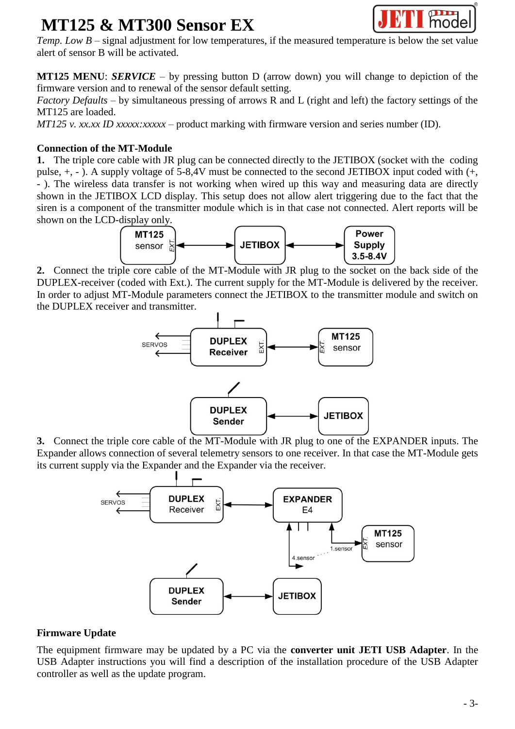## **MT125 & MT300 Sensor EX**



*Temp. Low B* – signal adjustment for low temperatures, if the measured temperature is below the set value alert of sensor B will be activated.

**MT125 MENU**: *SERVICE* – by pressing button D (arrow down) you will change to depiction of the firmware version and to renewal of the sensor default setting.

*Factory Defaults* – by simultaneous pressing of arrows R and L (right and left) the factory settings of the MT125 are loaded.

*MT125 v. xx.xx ID xxxxx:xxxxx* – product marking with firmware version and series number (ID).

### **Connection of the MT-Module**

**1.** The triple core cable with JR plug can be connected directly to the JETIBOX (socket with the coding pulse, +, - ). A supply voltage of 5-8,4V must be connected to the second JETIBOX input coded with (+, - ). The wireless data transfer is not working when wired up this way and measuring data are directly shown in the JETIBOX LCD display. This setup does not allow alert triggering due to the fact that the siren is a component of the transmitter module which is in that case not connected. Alert reports will be shown on the LCD-display only.



**2.** Connect the triple core cable of the MT-Module with JR plug to the socket on the back side of the DUPLEX-receiver (coded with Ext.). The current supply for the MT-Module is delivered by the receiver. In order to adjust MT-Module parameters connect the JETIBOX to the transmitter module and switch on the DUPLEX receiver and transmitter.



**3.** Connect the triple core cable of the MT-Module with JR plug to one of the EXPANDER inputs. The Expander allows connection of several telemetry sensors to one receiver. In that case the MT-Module gets its current supply via the Expander and the Expander via the receiver.



#### **Firmware Update**

The equipment firmware may be updated by a PC via the **converter unit JETI USB Adapter**. In the USB Adapter instructions you will find a description of the installation procedure of the USB Adapter controller as well as the update program.